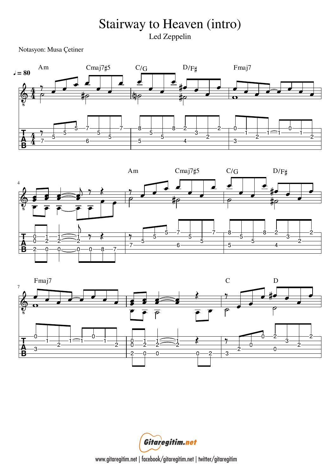## Stairway to Heaven (intro)

Led Zeppelin

Notasyon: Musa Çetiner







Gitaregitim.net